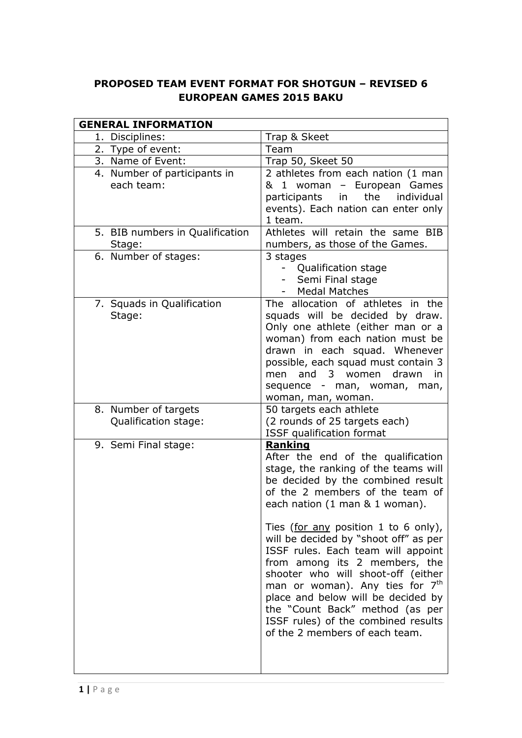# **PROPOSED TEAM EVENT FORMAT FOR SHOTGUN – REVISED 6 EUROPEAN GAMES 2015 BAKU**

| <b>GENERAL INFORMATION</b>                   |                                                                                                                                                                                                                                                                                                                                                                                                                                                                                                                                                                                                |
|----------------------------------------------|------------------------------------------------------------------------------------------------------------------------------------------------------------------------------------------------------------------------------------------------------------------------------------------------------------------------------------------------------------------------------------------------------------------------------------------------------------------------------------------------------------------------------------------------------------------------------------------------|
| 1. Disciplines:                              | Trap & Skeet                                                                                                                                                                                                                                                                                                                                                                                                                                                                                                                                                                                   |
| 2. Type of event:                            | Team                                                                                                                                                                                                                                                                                                                                                                                                                                                                                                                                                                                           |
| 3. Name of Event:                            | Trap 50, Skeet 50                                                                                                                                                                                                                                                                                                                                                                                                                                                                                                                                                                              |
| 4. Number of participants in<br>each team:   | 2 athletes from each nation (1 man<br>& 1 woman - European Games<br>the<br>individual<br>participants<br>in<br>events). Each nation can enter only<br>1 team.                                                                                                                                                                                                                                                                                                                                                                                                                                  |
| 5. BIB numbers in Qualification<br>Stage:    | Athletes will retain the same BIB<br>numbers, as those of the Games.                                                                                                                                                                                                                                                                                                                                                                                                                                                                                                                           |
| 6. Number of stages:                         | 3 stages<br>Qualification stage<br>Semi Final stage<br><b>Medal Matches</b>                                                                                                                                                                                                                                                                                                                                                                                                                                                                                                                    |
| 7. Squads in Qualification<br>Stage:         | The allocation of athletes in the<br>squads will be decided by draw.<br>Only one athlete (either man or a<br>woman) from each nation must be<br>drawn in each squad. Whenever<br>possible, each squad must contain 3<br>and 3 women<br>drawn<br>men<br>in<br>sequence - man, woman,<br>man,<br>woman, man, woman.                                                                                                                                                                                                                                                                              |
| 8. Number of targets<br>Qualification stage: | 50 targets each athlete<br>(2 rounds of 25 targets each)<br>ISSF qualification format                                                                                                                                                                                                                                                                                                                                                                                                                                                                                                          |
| 9. Semi Final stage:                         | Ranking<br>After the end of the qualification<br>stage, the ranking of the teams will<br>be decided by the combined result<br>of the 2 members of the team of<br>each nation (1 man & 1 woman).<br>Ties (for any position 1 to 6 only),<br>will be decided by "shoot off" as per<br>ISSF rules. Each team will appoint<br>from among its 2 members, the<br>shooter who will shoot-off (either<br>man or woman). Any ties for 7 <sup>th</sup><br>place and below will be decided by<br>the "Count Back" method (as per<br>ISSF rules) of the combined results<br>of the 2 members of each team. |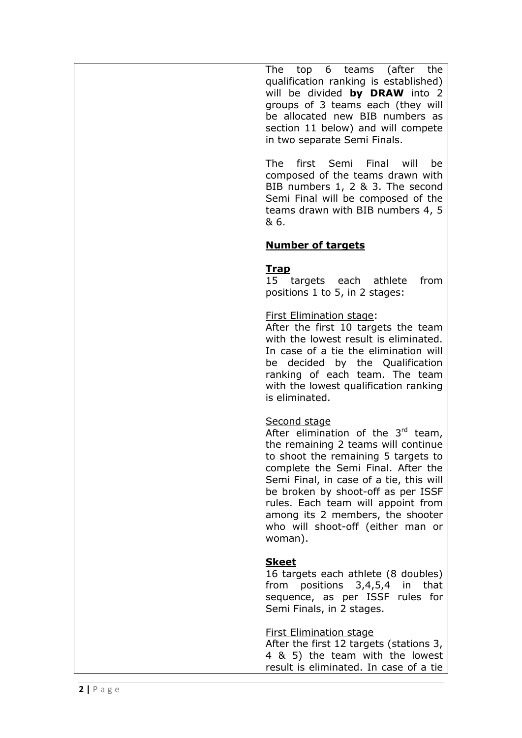The top 6 teams (after the qualification ranking is established) will be divided **by DRAW** into 2 groups of 3 teams each (they will be allocated new BIB numbers as section 1 1 below) and will compete in two separate Semi Finals.

The first Semi Final will be composed of the teams drawn with BIB numbers 1, 2 & 3. The second Semi Final will be composed of the teams drawn with BIB numbers 4, 5 & 6.

### **Number of targets**

#### **Trap**

15 targets each athlete from positions 1 to 5, in 2 stages:

#### First Elimination stage :

After the first 10 targets the team with the lowest result is eliminated. In case of a tie the elimination will be decided by the Qualification ranking of each team. The team with the lowest qualification ranking is eliminated. Second stage

After elimination of the  $3<sup>rd</sup>$  team, the remaining 2 teams will continue to shoot the remaining 5 targets to complete the Semi Final. After the Semi Final, in case of a tie, this will be broken by shoot -off as per ISSF rules. Each team will appoint from among its 2 members, the shooter who will shoot -off (either man or woman).

## **Skeet**

16 targets each athlete (8 doubles) from positions 3,4,5,4 in that sequence, as per ISSF rules for Semi Finals, in 2 stages .

#### First Elimination stage

After the first 12 targets (stations 3, 4 & 5) the team with the lowest result is eliminated. In case of a tie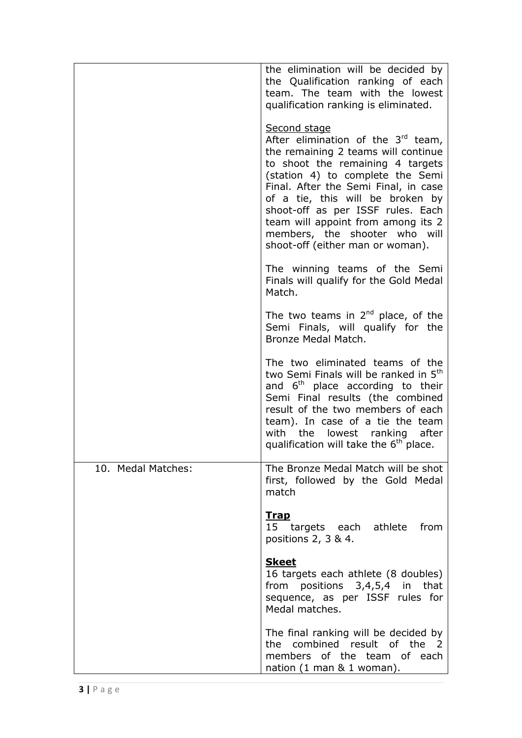|                    | the elimination will be decided by<br>the Qualification ranking of each<br>team. The team with the lowest<br>qualification ranking is eliminated.                                                                                                                                                                                                                                               |
|--------------------|-------------------------------------------------------------------------------------------------------------------------------------------------------------------------------------------------------------------------------------------------------------------------------------------------------------------------------------------------------------------------------------------------|
|                    | Second stage<br>After elimination of the $3rd$ team,<br>the remaining 2 teams will continue<br>to shoot the remaining 4 targets<br>(station 4) to complete the Semi<br>Final. After the Semi Final, in case<br>of a tie, this will be broken by<br>shoot-off as per ISSF rules. Each<br>team will appoint from among its 2<br>members, the shooter who will<br>shoot-off (either man or woman). |
|                    | The winning teams of the Semi<br>Finals will qualify for the Gold Medal<br>Match.                                                                                                                                                                                                                                                                                                               |
|                    | The two teams in $2nd$ place, of the<br>Semi Finals, will qualify for the<br>Bronze Medal Match.                                                                                                                                                                                                                                                                                                |
|                    | The two eliminated teams of the<br>two Semi Finals will be ranked in 5 <sup>th</sup><br>and $6th$ place according to their<br>Semi Final results (the combined<br>result of the two members of each<br>team). In case of a tie the team<br>with the lowest ranking after<br>qualification will take the 6 <sup>th</sup> place.                                                                  |
| 10. Medal Matches: | The Bronze Medal Match will be shot<br>first, followed by the Gold Medal<br>match                                                                                                                                                                                                                                                                                                               |
|                    | <u>Trap</u><br>15 targets each athlete<br>from<br>positions 2, 3 & 4.                                                                                                                                                                                                                                                                                                                           |
|                    | <b>Skeet</b><br>16 targets each athlete (8 doubles)<br>from positions 3,4,5,4 in that<br>sequence, as per ISSF rules for<br>Medal matches.                                                                                                                                                                                                                                                      |
|                    | The final ranking will be decided by<br>the combined result of the 2<br>members of the team of each<br>nation $(1 \text{ man } 8 \text{ 1 woman}).$                                                                                                                                                                                                                                             |